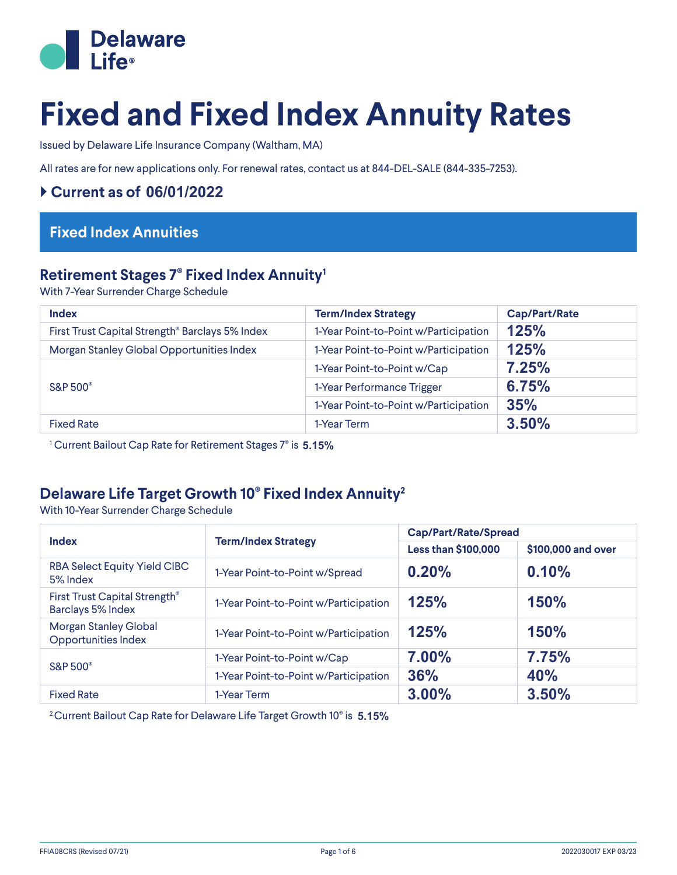

# **Fixed and Fixed Index Annuity Rates**

Issued by Delaware Life Insurance Company (Waltham, MA)

All rates are for new applications only. For renewal rates, contact us at 844-DEL-SALE (844-335-7253).

#### ` **Current as of 06/01/2022**

# **Fixed Index Annuities**

### **Retirement Stages 7® Fixed Index Annuity1**

With 7-Year Surrender Charge Schedule

| <b>Index</b>                                    | <b>Term/Index Strategy</b>            | <b>Cap/Part/Rate</b> |
|-------------------------------------------------|---------------------------------------|----------------------|
| First Trust Capital Strength® Barclays 5% Index | 1-Year Point-to-Point w/Participation | 125%                 |
| Morgan Stanley Global Opportunities Index       | 1-Year Point-to-Point w/Participation | 125%                 |
| <b>S&amp;P 500</b> <sup>®</sup>                 | 1-Year Point-to-Point w/Cap           | 7.25%                |
|                                                 | 1-Year Performance Trigger            | 6.75%                |
|                                                 | 1-Year Point-to-Point w/Participation | 35%                  |
| <b>Fixed Rate</b>                               | 1-Year Term                           | 3.50%                |

1 Current Bailout Cap Rate for Retirement Stages 7® is **5.15%**

# **Delaware Life Target Growth 10® Fixed Index Annuity2**

With 10-Year Surrender Charge Schedule

| <b>Index</b>                                               |                                       | <b>Cap/Part/Rate/Spread</b> |                    |  |
|------------------------------------------------------------|---------------------------------------|-----------------------------|--------------------|--|
| <b>Term/Index Strategy</b>                                 |                                       | <b>Less than \$100,000</b>  | \$100,000 and over |  |
| <b>RBA Select Equity Yield CIBC</b><br>5% Index            | 1-Year Point-to-Point w/Spread        | 0.20%                       | 0.10%              |  |
| First Trust Capital Strength®<br>Barclays 5% Index         | 1-Year Point-to-Point w/Participation | 125%                        | <b>150%</b>        |  |
| <b>Morgan Stanley Global</b><br><b>Opportunities Index</b> | 1-Year Point-to-Point w/Participation | 125%                        | <b>150%</b>        |  |
| <b>S&amp;P 500°</b>                                        | 1-Year Point-to-Point w/Cap           | 7.00%                       | 7.75%              |  |
|                                                            | 1-Year Point-to-Point w/Participation | 36%                         | <b>40%</b>         |  |
| <b>Fixed Rate</b>                                          | 1-Year Term                           | 3.00%                       | 3.50%              |  |

2 Current Bailout Cap Rate for Delaware Life Target Growth 10® is **5.15%**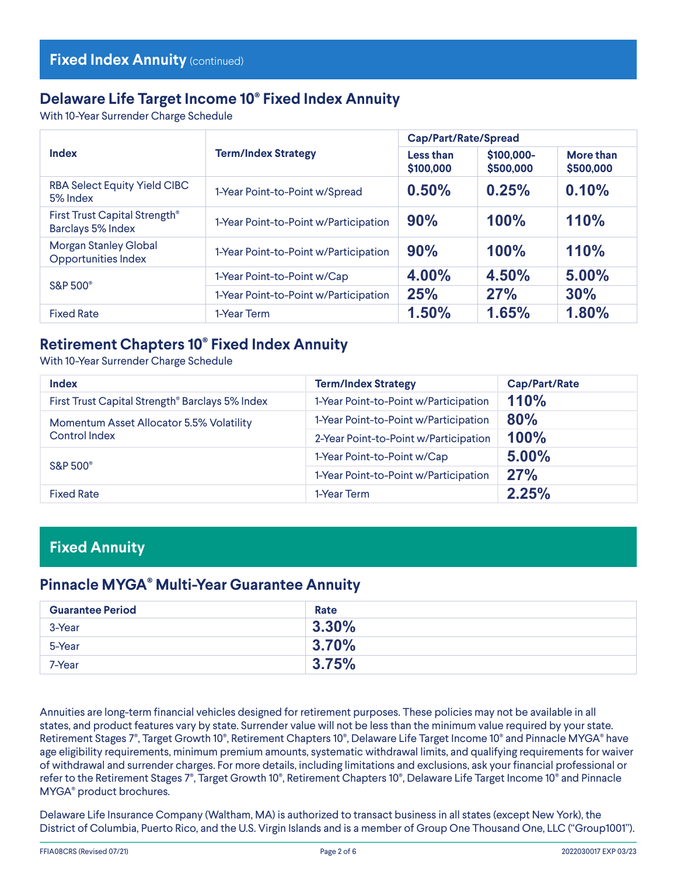# **Delaware Life Target Income 10® Fixed Index Annuity**

With 10-Year Surrender Charge Schedule

|                                                            |                                       |                        | <b>Cap/Part/Rate/Spread</b> |                        |
|------------------------------------------------------------|---------------------------------------|------------------------|-----------------------------|------------------------|
| <b>Index</b><br><b>Term/Index Strategy</b>                 |                                       | Less than<br>\$100,000 | \$100,000-<br>\$500,000     | More than<br>\$500,000 |
| <b>RBA Select Equity Yield CIBC</b><br>5% Index            | 1-Year Point-to-Point w/Spread        | 0.50%                  | 0.25%                       | 0.10%                  |
| First Trust Capital Strength®<br>Barclays 5% Index         | 1-Year Point-to-Point w/Participation | 90%                    | 100%                        | <b>110%</b>            |
| <b>Morgan Stanley Global</b><br><b>Opportunities Index</b> | 1-Year Point-to-Point w/Participation | 90%                    | 100%                        | 110%                   |
|                                                            | 1-Year Point-to-Point w/Cap           | 4.00%                  | 4.50%                       | 5.00%                  |
| <b>S&amp;P 500°</b>                                        | 1-Year Point-to-Point w/Participation | 25%                    | 27%                         | 30%                    |
| <b>Fixed Rate</b>                                          | 1-Year Term                           | 1.50%                  | 1.65%                       | 1.80%                  |

## **Retirement Chapters 10® Fixed Index Annuity**

With 10-Year Surrender Charge Schedule

| <b>Index</b>                                                     | <b>Term/Index Strategy</b>            | Cap/Part/Rate |
|------------------------------------------------------------------|---------------------------------------|---------------|
| First Trust Capital Strength® Barclays 5% Index                  | 1-Year Point-to-Point w/Participation | <b>110%</b>   |
| Momentum Asset Allocator 5.5% Volatility<br><b>Control Index</b> | 1-Year Point-to-Point w/Participation | 80%           |
|                                                                  | 2-Year Point-to-Point w/Participation | <b>100%</b>   |
| <b>S&amp;P 500</b> °                                             | 1-Year Point-to-Point w/Cap           | 5.00%         |
|                                                                  | 1-Year Point-to-Point w/Participation | 27%           |
| <b>Fixed Rate</b>                                                | 1-Year Term                           | 2.25%         |

### **Fixed Annuity**

#### **Pinnacle MYGA® Multi-Year Guarantee Annuity**

| <b>Guarantee Period</b> | Rate     |
|-------------------------|----------|
| 3-Year                  | $3.30\%$ |
| 5-Year                  | 3.70%    |
| 7-Year                  | 3.75%    |

Annuities are long-term financial vehicles designed for retirement purposes. These policies may not be available in all states, and product features vary by state. Surrender value will not be less than the minimum value required by your state. Retirement Stages 7<sup>®</sup>, Target Growth 10<sup>®</sup>, Retirement Chapters 10<sup>®</sup>, Delaware Life Target Income 10<sup>®</sup> and Pinnacle MYGA<sup>®</sup> have age eligibility requirements, minimum premium amounts, systematic withdrawal limits, and qualifying requirements for waiver of withdrawal and surrender charges. For more details, including limitations and exclusions, ask your financial professional or refer to the Retirement Stages 7®, Target Growth 10®, Retirement Chapters 10®, Delaware Life Target Income 10® and Pinnacle MYGA® product brochures.

 Delaware Life Insurance Company (Waltham, MA) is authorized to transact business in all states (except New York), the District of Columbia, Puerto Rico, and the U.S. Virgin Islands and is a member of Group One Thousand One, LLC ("Group1001").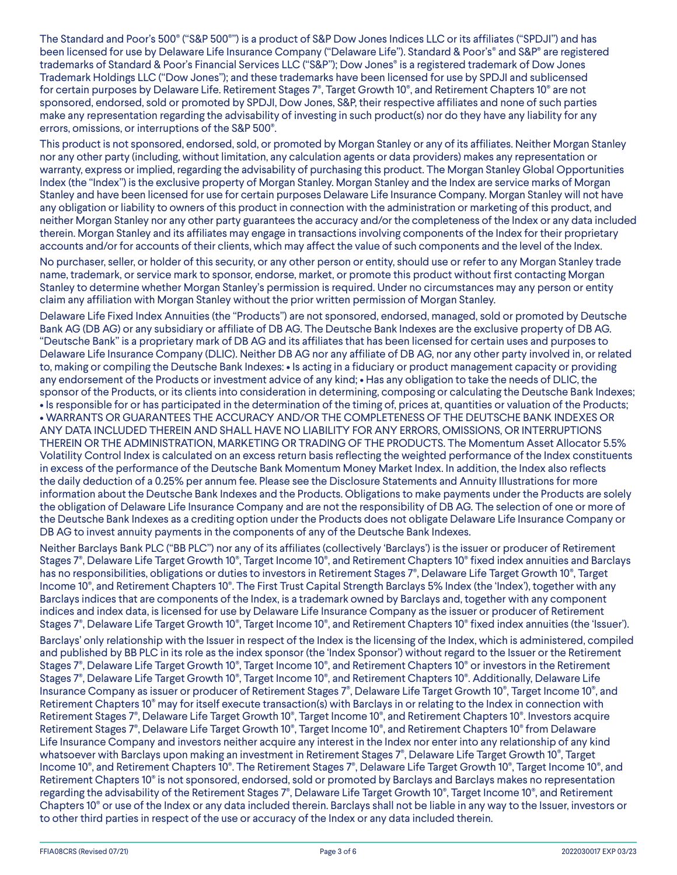The Standard and Poor's 500® ("S&P 500®") is a product of S&P Dow Jones Indices LLC or its affiliates ("SPDJI") and has been licensed for use by Delaware Life Insurance Company ("Delaware Life"). Standard & Poor's® and S&P® are registered trademarks of Standard & Poor's Financial Services LLC ("S&P"); Dow Jones<sup>®</sup> is a registered trademark of Dow Jones Trademark Holdings LLC ("Dow Jones"); and these trademarks have been licensed for use by SPDJI and sublicensed for certain purposes by Delaware Life. Retirement Stages 7®, Target Growth 10®, and Retirement Chapters 10® are not sponsored, endorsed, sold or promoted by SPDJI, Dow Jones, S&P, their respective affiliates and none of such parties make any representation regarding the advisability of investing in such product(s) nor do they have any liability for any errors, omissions, or interruptions of the S&P 500®.

This product is not sponsored, endorsed, sold, or promoted by Morgan Stanley or any of its affiliates. Neither Morgan Stanley nor any other party (including, without limitation, any calculation agents or data providers) makes any representation or warranty, express or implied, regarding the advisability of purchasing this product. The Morgan Stanley Global Opportunities Index (the "Index") is the exclusive property of Morgan Stanley. Morgan Stanley and the Index are service marks of Morgan Stanley and have been licensed for use for certain purposes Delaware Life Insurance Company. Morgan Stanley will not have any obligation or liability to owners of this product in connection with the administration or marketing of this product, and neither Morgan Stanley nor any other party guarantees the accuracy and/or the completeness of the Index or any data included therein. Morgan Stanley and its affiliates may engage in transactions involving components of the Index for their proprietary accounts and/or for accounts of their clients, which may affect the value of such components and the level of the Index.

No purchaser, seller, or holder of this security, or any other person or entity, should use or refer to any Morgan Stanley trade name, trademark, or service mark to sponsor, endorse, market, or promote this product without first contacting Morgan Stanley to determine whether Morgan Stanley's permission is required. Under no circumstances may any person or entity claim any affiliation with Morgan Stanley without the prior written permission of Morgan Stanley.

Delaware Life Fixed Index Annuities (the "Products") are not sponsored, endorsed, managed, sold or promoted by Deutsche Bank AG (DB AG) or any subsidiary or affiliate of DB AG. The Deutsche Bank Indexes are the exclusive property of DB AG. "Deutsche Bank" is a proprietary mark of DB AG and its affiliates that has been licensed for certain uses and purposes to Delaware Life Insurance Company (DLIC). Neither DB AG nor any affiliate of DB AG, nor any other party involved in, or related to, making or compiling the Deutsche Bank Indexes: • Is acting in a fiduciary or product management capacity or providing any endorsement of the Products or investment advice of any kind; • Has any obligation to take the needs of DLIC, the sponsor of the Products, or its clients into consideration in determining, composing or calculating the Deutsche Bank Indexes; • Is responsible for or has participated in the determination of the timing of, prices at, quantities or valuation of the Products; • WARRANTS OR GUARANTEES THE ACCURACY AND/OR THE COMPLETENESS OF THE DEUTSCHE BANK INDEXES OR ANY DATA INCLUDED THEREIN AND SHALL HAVE NO LIABILITY FOR ANY ERRORS, OMISSIONS, OR INTERRUPTIONS THEREIN OR THE ADMINISTRATION, MARKETING OR TRADING OF THE PRODUCTS. The Momentum Asset Allocator 5.5% Volatility Control Index is calculated on an excess return basis reflecting the weighted performance of the Index constituents in excess of the performance of the Deutsche Bank Momentum Money Market Index. In addition, the Index also reflects the daily deduction of a 0.25% per annum fee. Please see the Disclosure Statements and Annuity Illustrations for more information about the Deutsche Bank Indexes and the Products. Obligations to make payments under the Products are solely the obligation of Delaware Life Insurance Company and are not the responsibility of DB AG. The selection of one or more of the Deutsche Bank Indexes as a crediting option under the Products does not obligate Delaware Life Insurance Company or DB AG to invest annuity payments in the components of any of the Deutsche Bank Indexes.

Neither Barclays Bank PLC ("BB PLC") nor any of its affiliates (collectively 'Barclays') is the issuer or producer of Retirement Stages 7®, Delaware Life Target Growth 10®, Target Income 10®, and Retirement Chapters 10® fixed index annuities and Barclays has no responsibilities, obligations or duties to investors in Retirement Stages 7®, Delaware Life Target Growth 10®, Target Income 10®, and Retirement Chapters 10®. The First Trust Capital Strength Barclays 5% Index (the 'Index'), together with any Barclays indices that are components of the Index, is a trademark owned by Barclays and, together with any component indices and index data, is licensed for use by Delaware Life Insurance Company as the issuer or producer of Retirement Stages 7®, Delaware Life Target Growth 10®, Target Income 10®, and Retirement Chapters 10® fixed index annuities (the 'Issuer').

Barclays' only relationship with the Issuer in respect of the Index is the licensing of the Index, which is administered, compiled and published by BB PLC in its role as the index sponsor (the 'Index Sponsor') without regard to the Issuer or the Retirement Stages 7®, Delaware Life Target Growth 10®, Target Income 10®, and Retirement Chapters 10® or investors in the Retirement Stages 7®, Delaware Life Target Growth 10®, Target Income 10®, and Retirement Chapters 10®. Additionally, Delaware Life Insurance Company as issuer or producer of Retirement Stages 7®, Delaware Life Target Growth 10®, Target Income 10®, and Retirement Chapters 10® may for itself execute transaction(s) with Barclays in or relating to the Index in connection with Retirement Stages 7®, Delaware Life Target Growth 10®, Target Income 10®, and Retirement Chapters 10®. Investors acquire Retirement Stages 7®, Delaware Life Target Growth 10®, Target Income 10®, and Retirement Chapters 10® from Delaware Life Insurance Company and investors neither acquire any interest in the Index nor enter into any relationship of any kind whatsoever with Barclays upon making an investment in Retirement Stages 7®, Delaware Life Target Growth 10®, Target Income 10®, and Retirement Chapters 10®. The Retirement Stages 7®, Delaware Life Target Growth 10®, Target Income 10®, and Retirement Chapters 10® is not sponsored, endorsed, sold or promoted by Barclays and Barclays makes no representation regarding the advisability of the Retirement Stages 7®, Delaware Life Target Growth 10®, Target Income 10®, and Retirement Chapters 10® or use of the Index or any data included therein. Barclays shall not be liable in any way to the Issuer, investors or to other third parties in respect of the use or accuracy of the Index or any data included therein.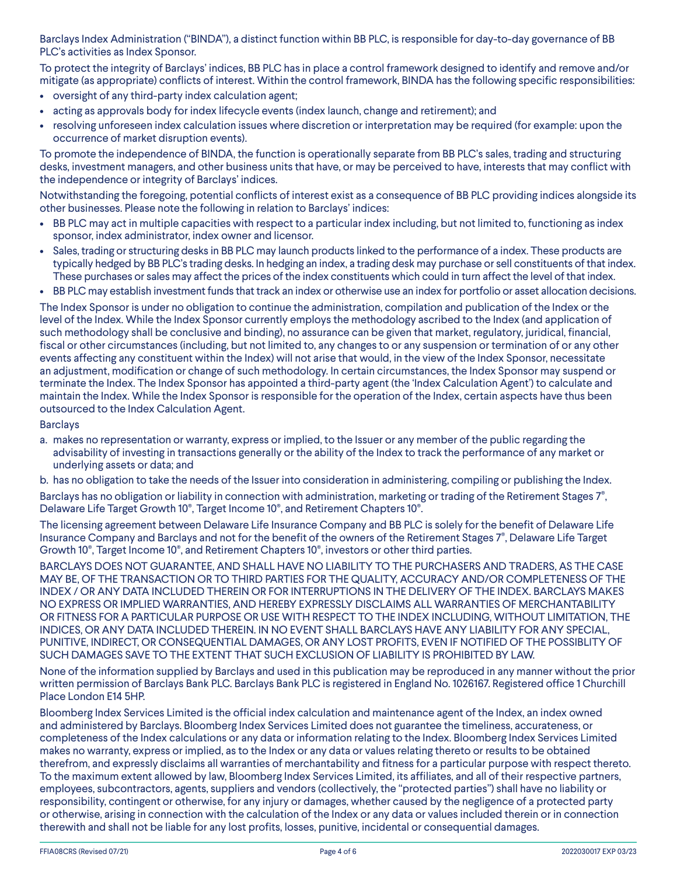Barclays Index Administration ("BINDA"), a distinct function within BB PLC, is responsible for day-to-day governance of BB PLC's activities as Index Sponsor.

To protect the integrity of Barclays' indices, BB PLC has in place a control framework designed to identify and remove and/or mitigate (as appropriate) conflicts of interest. Within the control framework, BINDA has the following specific responsibilities:

- oversight of any third-party index calculation agent;
- acting as approvals body for index lifecycle events (index launch, change and retirement); and
- resolving unforeseen index calculation issues where discretion or interpretation may be required (for example: upon the occurrence of market disruption events).

To promote the independence of BINDA, the function is operationally separate from BB PLC's sales, trading and structuring desks, investment managers, and other business units that have, or may be perceived to have, interests that may conflict with the independence or integrity of Barclays' indices.

Notwithstanding the foregoing, potential conflicts of interest exist as a consequence of BB PLC providing indices alongside its other businesses. Please note the following in relation to Barclays' indices:

- BB PLC may act in multiple capacities with respect to a particular index including, but not limited to, functioning as index sponsor, index administrator, index owner and licensor.
- Sales, trading or structuring desks in BB PLC may launch products linked to the performance of a index. These products are typically hedged by BB PLC's trading desks. In hedging an index, a trading desk may purchase or sell constituents of that index. These purchases or sales may affect the prices of the index constituents which could in turn affect the level of that index.
- BB PLC may establish investment funds that track an index or otherwise use an index for portfolio or asset allocation decisions.

The Index Sponsor is under no obligation to continue the administration, compilation and publication of the Index or the level of the Index. While the Index Sponsor currently employs the methodology ascribed to the Index (and application of such methodology shall be conclusive and binding), no assurance can be given that market, regulatory, juridical, financial, fiscal or other circumstances (including, but not limited to, any changes to or any suspension or termination of or any other events affecting any constituent within the Index) will not arise that would, in the view of the Index Sponsor, necessitate an adjustment, modification or change of such methodology. In certain circumstances, the Index Sponsor may suspend or terminate the Index. The Index Sponsor has appointed a third-party agent (the 'Index Calculation Agent') to calculate and maintain the Index. While the Index Sponsor is responsible for the operation of the Index, certain aspects have thus been outsourced to the Index Calculation Agent.

#### **Barclays**

a. makes no representation or warranty, express or implied, to the Issuer or any member of the public regarding the advisability of investing in transactions generally or the ability of the Index to track the performance of any market or underlying assets or data; and

b. has no obligation to take the needs of the Issuer into consideration in administering, compiling or publishing the Index. Barclays has no obligation or liability in connection with administration, marketing or trading of the Retirement Stages 7®, Delaware Life Target Growth 10®, Target Income 10®, and Retirement Chapters 10®.

The licensing agreement between Delaware Life Insurance Company and BB PLC is solely for the benefit of Delaware Life Insurance Company and Barclays and not for the benefit of the owners of the Retirement Stages 7®, Delaware Life Target Growth 10®, Target Income 10®, and Retirement Chapters 10®, investors or other third parties.

BARCLAYS DOES NOT GUARANTEE, AND SHALL HAVE NO LIABILITY TO THE PURCHASERS AND TRADERS, AS THE CASE MAY BE, OF THE TRANSACTION OR TO THIRD PARTIES FOR THE QUALITY, ACCURACY AND/OR COMPLETENESS OF THE INDEX / OR ANY DATA INCLUDED THEREIN OR FOR INTERRUPTIONS IN THE DELIVERY OF THE INDEX. BARCLAYS MAKES NO EXPRESS OR IMPLIED WARRANTIES, AND HEREBY EXPRESSLY DISCLAIMS ALL WARRANTIES OF MERCHANTABILITY OR FITNESS FOR A PARTICULAR PURPOSE OR USE WITH RESPECT TO THE INDEX INCLUDING, WITHOUT LIMITATION, THE INDICES, OR ANY DATA INCLUDED THEREIN. IN NO EVENT SHALL BARCLAYS HAVE ANY LIABILITY FOR ANY SPECIAL, PUNITIVE, INDIRECT, OR CONSEQUENTIAL DAMAGES, OR ANY LOST PROFITS, EVEN IF NOTIFIED OF THE POSSIBLITY OF SUCH DAMAGES SAVE TO THE EXTENT THAT SUCH EXCLUSION OF LIABILITY IS PROHIBITED BY LAW.

None of the information supplied by Barclays and used in this publication may be reproduced in any manner without the prior written permission of Barclays Bank PLC. Barclays Bank PLC is registered in England No. 1026167. Registered office 1 Churchill Place London E14 5HP.

Bloomberg Index Services Limited is the official index calculation and maintenance agent of the Index, an index owned and administered by Barclays. Bloomberg Index Services Limited does not guarantee the timeliness, accurateness, or completeness of the Index calculations or any data or information relating to the Index. Bloomberg Index Services Limited makes no warranty, express or implied, as to the Index or any data or values relating thereto or results to be obtained therefrom, and expressly disclaims all warranties of merchantability and fitness for a particular purpose with respect thereto. To the maximum extent allowed by law, Bloomberg Index Services Limited, its affiliates, and all of their respective partners, employees, subcontractors, agents, suppliers and vendors (collectively, the "protected parties") shall have no liability or responsibility, contingent or otherwise, for any injury or damages, whether caused by the negligence of a protected party or otherwise, arising in connection with the calculation of the Index or any data or values included therein or in connection therewith and shall not be liable for any lost profits, losses, punitive, incidental or consequential damages.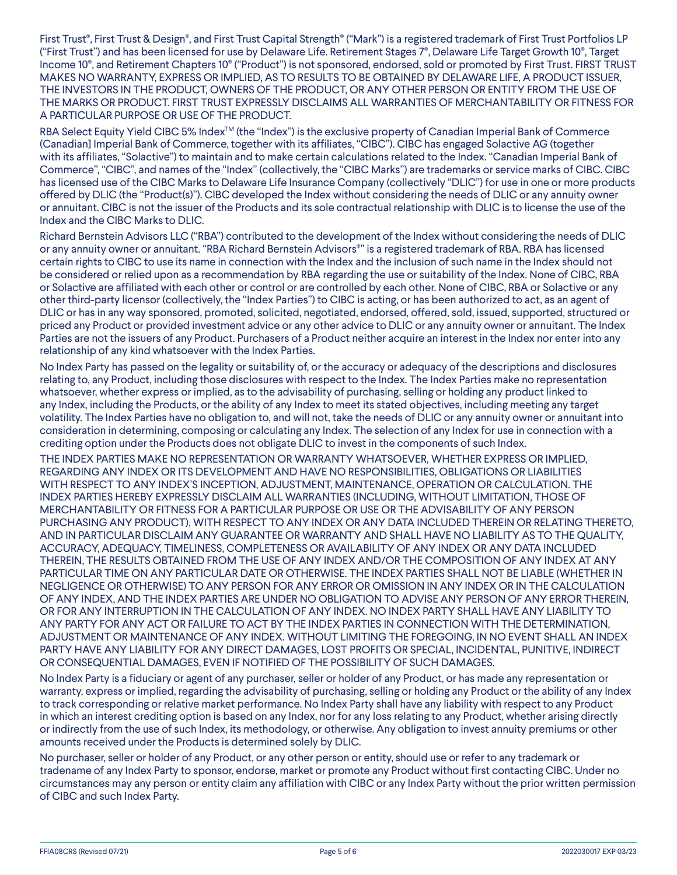First Trust®, First Trust & Design®, and First Trust Capital Strength® ("Mark") is a registered trademark of First Trust Portfolios LP ("First Trust") and has been licensed for use by Delaware Life. Retirement Stages 7®, Delaware Life Target Growth 10®, Target Income 10®, and Retirement Chapters 10® ("Product") is not sponsored, endorsed, sold or promoted by First Trust. FIRST TRUST MAKES NO WARRANTY, EXPRESS OR IMPLIED, AS TO RESULTS TO BE OBTAINED BY DELAWARE LIFE, A PRODUCT ISSUER, THE INVESTORS IN THE PRODUCT, OWNERS OF THE PRODUCT, OR ANY OTHER PERSON OR ENTITY FROM THE USE OF THE MARKS OR PRODUCT. FIRST TRUST EXPRESSLY DISCLAIMS ALL WARRANTIES OF MERCHANTABILITY OR FITNESS FOR A PARTICULAR PURPOSE OR USE OF THE PRODUCT.

RBA Select Equity Yield CIBC 5% Index<sup>™</sup> (the "Index") is the exclusive property of Canadian Imperial Bank of Commerce (Canadian] Imperial Bank of Commerce, together with its affiliates, "CIBC"). CIBC has engaged Solactive AG (together with its affiliates, "Solactive") to maintain and to make certain calculations related to the Index. "Canadian Imperial Bank of Commerce", "CIBC", and names of the "Index" (collectively, the "CIBC Marks") are trademarks or service marks of CIBC. CIBC has licensed use of the CIBC Marks to Delaware Life Insurance Company (collectively "DLIC") for use in one or more products offered by DLIC (the "Product(s)"). CIBC developed the Index without considering the needs of DLIC or any annuity owner or annuitant. CIBC is not the issuer of the Products and its sole contractual relationship with DLIC is to license the use of the Index and the CIBC Marks to DLIC.

Richard Bernstein Advisors LLC ("RBA") contributed to the development of the Index without considering the needs of DLIC or any annuity owner or annuitant. "RBA Richard Bernstein Advisors®" is a registered trademark of RBA. RBA has licensed certain rights to CIBC to use its name in connection with the Index and the inclusion of such name in the Index should not be considered or relied upon as a recommendation by RBA regarding the use or suitability of the Index. None of CIBC, RBA or Solactive are affiliated with each other or control or are controlled by each other. None of CIBC, RBA or Solactive or any other third-party licensor (collectively, the "Index Parties") to CIBC is acting, or has been authorized to act, as an agent of DLIC or has in any way sponsored, promoted, solicited, negotiated, endorsed, offered, sold, issued, supported, structured or priced any Product or provided investment advice or any other advice to DLIC or any annuity owner or annuitant. The Index Parties are not the issuers of any Product. Purchasers of a Product neither acquire an interest in the Index nor enter into any relationship of any kind whatsoever with the Index Parties.

No Index Party has passed on the legality or suitability of, or the accuracy or adequacy of the descriptions and disclosures relating to, any Product, including those disclosures with respect to the Index. The Index Parties make no representation whatsoever, whether express or implied, as to the advisability of purchasing, selling or holding any product linked to any Index, including the Products, or the ability of any Index to meet its stated objectives, including meeting any target volatility. The Index Parties have no obligation to, and will not, take the needs of DLIC or any annuity owner or annuitant into consideration in determining, composing or calculating any Index. The selection of any Index for use in connection with a crediting option under the Products does not obligate DLIC to invest in the components of such Index.

THE INDEX PARTIES MAKE NO REPRESENTATION OR WARRANTY WHATSOEVER, WHETHER EXPRESS OR IMPLIED, REGARDING ANY INDEX OR ITS DEVELOPMENT AND HAVE NO RESPONSIBILITIES, OBLIGATIONS OR LIABILITIES WITH RESPECT TO ANY INDEX'S INCEPTION, ADJUSTMENT, MAINTENANCE, OPERATION OR CALCULATION. THE INDEX PARTIES HEREBY EXPRESSLY DISCLAIM ALL WARRANTIES (INCLUDING, WITHOUT LIMITATION, THOSE OF MERCHANTABILITY OR FITNESS FOR A PARTICULAR PURPOSE OR USE OR THE ADVISABILITY OF ANY PERSON PURCHASING ANY PRODUCT), WITH RESPECT TO ANY INDEX OR ANY DATA INCLUDED THEREIN OR RELATING THERETO, AND IN PARTICULAR DISCLAIM ANY GUARANTEE OR WARRANTY AND SHALL HAVE NO LIABILITY AS TO THE QUALITY, ACCURACY, ADEQUACY, TIMELINESS, COMPLETENESS OR AVAILABILITY OF ANY INDEX OR ANY DATA INCLUDED THEREIN, THE RESULTS OBTAINED FROM THE USE OF ANY INDEX AND/OR THE COMPOSITION OF ANY INDEX AT ANY PARTICULAR TIME ON ANY PARTICULAR DATE OR OTHERWISE. THE INDEX PARTIES SHALL NOT BE LIABLE (WHETHER IN NEGLIGENCE OR OTHERWISE) TO ANY PERSON FOR ANY ERROR OR OMISSION IN ANY INDEX OR IN THE CALCULATION OF ANY INDEX, AND THE INDEX PARTIES ARE UNDER NO OBLIGATION TO ADVISE ANY PERSON OF ANY ERROR THEREIN, OR FOR ANY INTERRUPTION IN THE CALCULATION OF ANY INDEX. NO INDEX PARTY SHALL HAVE ANY LIABILITY TO ANY PARTY FOR ANY ACT OR FAILURE TO ACT BY THE INDEX PARTIES IN CONNECTION WITH THE DETERMINATION, ADJUSTMENT OR MAINTENANCE OF ANY INDEX. WITHOUT LIMITING THE FOREGOING, IN NO EVENT SHALL AN INDEX PARTY HAVE ANY LIABILITY FOR ANY DIRECT DAMAGES, LOST PROFITS OR SPECIAL, INCIDENTAL, PUNITIVE, INDIRECT OR CONSEQUENTIAL DAMAGES, EVEN IF NOTIFIED OF THE POSSIBILITY OF SUCH DAMAGES.

No Index Party is a fiduciary or agent of any purchaser, seller or holder of any Product, or has made any representation or warranty, express or implied, regarding the advisability of purchasing, selling or holding any Product or the ability of any Index to track corresponding or relative market performance. No Index Party shall have any liability with respect to any Product in which an interest crediting option is based on any Index, nor for any loss relating to any Product, whether arising directly or indirectly from the use of such Index, its methodology, or otherwise. Any obligation to invest annuity premiums or other amounts received under the Products is determined solely by DLIC.

No purchaser, seller or holder of any Product, or any other person or entity, should use or refer to any trademark or tradename of any Index Party to sponsor, endorse, market or promote any Product without first contacting CIBC. Under no circumstances may any person or entity claim any affiliation with CIBC or any Index Party without the prior written permission of CIBC and such Index Party.